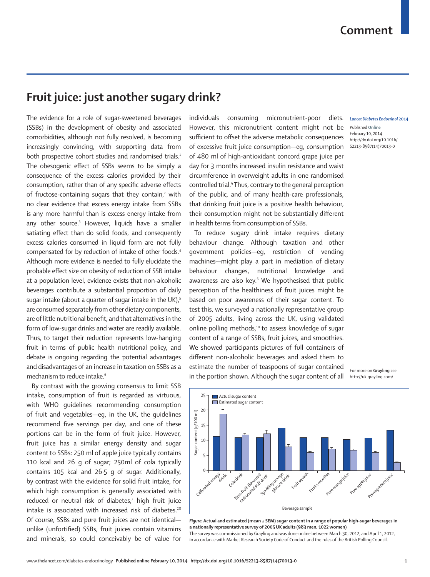## **Fruit juice: just another sugary drink?**

The evidence for a role of sugar-sweetened beverages (SSBs) in the development of obesity and associated comorbidities, although not fully resolved, is becoming increasingly convincing, with supporting data from both prospective cohort studies and randomised trials.<sup>1</sup> The obesogenic effect of SSBs seems to be simply a consequence of the excess calories provided by their consumption, rather than of any specific adverse effects of fructose-containing sugars that they contain, $^2$  with no clear evidence that excess energy intake from SSBs is any more harmful than is excess energy intake from any other source.3 However, liquids have a smaller satiating effect than do solid foods, and consequently excess calories consumed in liquid form are not fully compensated for by reduction of intake of other foods.4 Although more evidence is needed to fully elucidate the probable effect size on obesity of reduction of SSB intake at a population level, evidence exists that non-alcoholic beverages contribute a substantial proportion of daily sugar intake (about a quarter of sugar intake in the UK), $5$ are consumed separately from other dietary components, are of little nutritional benefit, and that alternatives in the form of low-sugar drinks and water are readily available. Thus, to target their reduction represents low-hanging fruit in terms of public health nutritional policy, and debate is ongoing regarding the potential advantages and disadvantages of an increase in taxation on SSBs as a mechanism to reduce intake.<sup>6</sup>

By contrast with the growing consensus to limit SSB intake, consumption of fruit is regarded as virtuous, with WHO guidelines recommending consumption of fruit and vegetables—eg, in the UK, the guidelines recommend five servings per day, and one of these portions can be in the form of fruit juice. However, fruit juice has a similar energy density and sugar content to SSBs: 250 ml of apple juice typically contains 110 kcal and 26 g of sugar; 250ml of cola typically contains 105 kcal and 26·5 g of sugar. Additionally, by contrast with the evidence for solid fruit intake, for which high consumption is generally associated with reduced or neutral risk of diabetes,7 high fruit juice intake is associated with increased risk of diabetes.<sup>7,8</sup> Of course, SSBs and pure fruit juices are not identical unlike (unfortified) SSBs, fruit juices contain vitamins and minerals, so could conceivably be of value for individuals consuming micronutrient-poor diets. However, this micronutrient content might not be sufficient to offset the adverse metabolic consequences of excessive fruit juice consumption—eg, consumption of 480 ml of high-antioxidant concord grape juice per day for 3 months increased insulin resistance and waist circumference in overweight adults in one randomised controlled trial.9 Thus, contrary to the general perception of the public, and of many health-care professionals, that drinking fruit juice is a positive health behaviour, their consumption might not be substantially different in health terms from consumption of SSBs.

To reduce sugary drink intake requires dietary behaviour change. Although taxation and other government policies—eg, restriction of vending machines—might play a part in mediation of dietary behaviour changes, nutritional knowledge and awareness are also key.<sup>6</sup> We hypothesised that public perception of the healthiness of fruit juices might be based on poor awareness of their sugar content. To test this, we surveyed a nationally representative group of 2005 adults, living across the UK, using validated online polling methods,<sup>10</sup> to assess knowledge of sugar content of a range of SSBs, fruit juices, and smoothies. We showed participants pictures of full containers of different non-alcoholic beverages and asked them to estimate the number of teaspoons of sugar contained in the portion shown. Although the sugar content of all

## *Lancet Diabetes Endocrinol* **2014**

Published **Online** February 10, 2014 http://dx.doi.org/10.1016/ S2213-8587(14)70013-0





*Figure:* **Actual and estimated (mean ± SEM) sugar content in a range of popular high-sugar beverages in a nationally representative survey of 2005 UK adults (983 men, 1022 women)**  The survey was commissioned by Grayling and was done online between March 30, 2012, and April 1, 2012, in accordance with Market Research Society Code of Conduct and the rules of the British Polling Council.